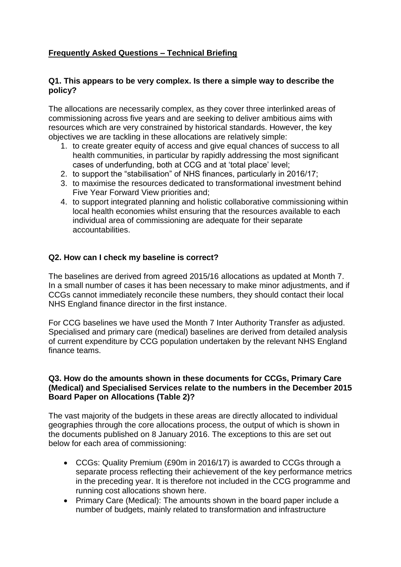# **Frequently Asked Questions – Technical Briefing**

#### **Q1. This appears to be very complex. Is there a simple way to describe the policy?**

The allocations are necessarily complex, as they cover three interlinked areas of commissioning across five years and are seeking to deliver ambitious aims with resources which are very constrained by historical standards. However, the key objectives we are tackling in these allocations are relatively simple:

- 1. to create greater equity of access and give equal chances of success to all health communities, in particular by rapidly addressing the most significant cases of underfunding, both at CCG and at 'total place' level;
- 2. to support the "stabilisation" of NHS finances, particularly in 2016/17;
- 3. to maximise the resources dedicated to transformational investment behind Five Year Forward View priorities and;
- 4. to support integrated planning and holistic collaborative commissioning within local health economies whilst ensuring that the resources available to each individual area of commissioning are adequate for their separate accountabilities.

#### **Q2. How can I check my baseline is correct?**

The baselines are derived from agreed 2015/16 allocations as updated at Month 7. In a small number of cases it has been necessary to make minor adjustments, and if CCGs cannot immediately reconcile these numbers, they should contact their local NHS England finance director in the first instance.

For CCG baselines we have used the Month 7 Inter Authority Transfer as adjusted. Specialised and primary care (medical) baselines are derived from detailed analysis of current expenditure by CCG population undertaken by the relevant NHS England finance teams.

#### **Q3. How do the amounts shown in these documents for CCGs, Primary Care (Medical) and Specialised Services relate to the numbers in the December 2015 Board Paper on Allocations (Table 2)?**

The vast majority of the budgets in these areas are directly allocated to individual geographies through the core allocations process, the output of which is shown in the documents published on 8 January 2016. The exceptions to this are set out below for each area of commissioning:

- CCGs: Quality Premium (£90m in 2016/17) is awarded to CCGs through a separate process reflecting their achievement of the key performance metrics in the preceding year. It is therefore not included in the CCG programme and running cost allocations shown here.
- Primary Care (Medical): The amounts shown in the board paper include a number of budgets, mainly related to transformation and infrastructure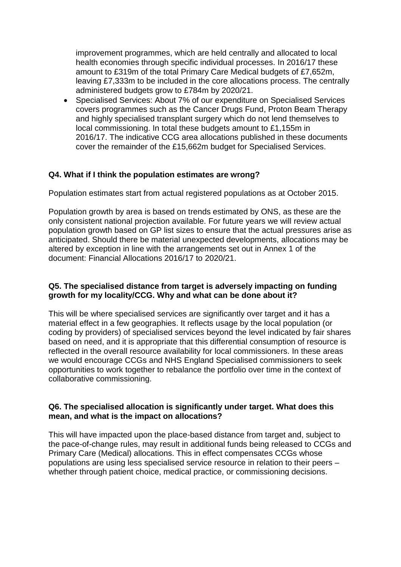improvement programmes, which are held centrally and allocated to local health economies through specific individual processes. In 2016/17 these amount to £319m of the total Primary Care Medical budgets of £7,652m, leaving £7,333m to be included in the core allocations process. The centrally administered budgets grow to £784m by 2020/21.

 Specialised Services: About 7% of our expenditure on Specialised Services covers programmes such as the Cancer Drugs Fund, Proton Beam Therapy and highly specialised transplant surgery which do not lend themselves to local commissioning. In total these budgets amount to £1,155m in 2016/17. The indicative CCG area allocations published in these documents cover the remainder of the £15,662m budget for Specialised Services.

# **Q4. What if I think the population estimates are wrong?**

Population estimates start from actual registered populations as at October 2015.

Population growth by area is based on trends estimated by ONS, as these are the only consistent national projection available. For future years we will review actual population growth based on GP list sizes to ensure that the actual pressures arise as anticipated. Should there be material unexpected developments, allocations may be altered by exception in line with the arrangements set out in Annex 1 of the document: Financial Allocations 2016/17 to 2020/21.

### **Q5. The specialised distance from target is adversely impacting on funding growth for my locality/CCG. Why and what can be done about it?**

This will be where specialised services are significantly over target and it has a material effect in a few geographies. It reflects usage by the local population (or coding by providers) of specialised services beyond the level indicated by fair shares based on need, and it is appropriate that this differential consumption of resource is reflected in the overall resource availability for local commissioners. In these areas we would encourage CCGs and NHS England Specialised commissioners to seek opportunities to work together to rebalance the portfolio over time in the context of collaborative commissioning.

### **Q6. The specialised allocation is significantly under target. What does this mean, and what is the impact on allocations?**

This will have impacted upon the place-based distance from target and, subject to the pace-of-change rules, may result in additional funds being released to CCGs and Primary Care (Medical) allocations. This in effect compensates CCGs whose populations are using less specialised service resource in relation to their peers – whether through patient choice, medical practice, or commissioning decisions.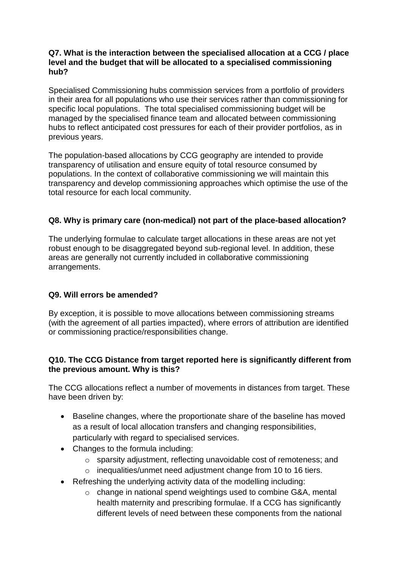### **Q7. What is the interaction between the specialised allocation at a CCG / place level and the budget that will be allocated to a specialised commissioning hub?**

Specialised Commissioning hubs commission services from a portfolio of providers in their area for all populations who use their services rather than commissioning for specific local populations. The total specialised commissioning budget will be managed by the specialised finance team and allocated between commissioning hubs to reflect anticipated cost pressures for each of their provider portfolios, as in previous years.

The population-based allocations by CCG geography are intended to provide transparency of utilisation and ensure equity of total resource consumed by populations. In the context of collaborative commissioning we will maintain this transparency and develop commissioning approaches which optimise the use of the total resource for each local community.

# **Q8. Why is primary care (non-medical) not part of the place-based allocation?**

The underlying formulae to calculate target allocations in these areas are not yet robust enough to be disaggregated beyond sub-regional level. In addition, these areas are generally not currently included in collaborative commissioning arrangements.

# **Q9. Will errors be amended?**

By exception, it is possible to move allocations between commissioning streams (with the agreement of all parties impacted), where errors of attribution are identified or commissioning practice/responsibilities change.

# **Q10. The CCG Distance from target reported here is significantly different from the previous amount. Why is this?**

The CCG allocations reflect a number of movements in distances from target. These have been driven by:

- Baseline changes, where the proportionate share of the baseline has moved as a result of local allocation transfers and changing responsibilities, particularly with regard to specialised services.
- Changes to the formula including:
	- o sparsity adjustment, reflecting unavoidable cost of remoteness; and
	- o inequalities/unmet need adjustment change from 10 to 16 tiers.
- Refreshing the underlying activity data of the modelling including:
	- o change in national spend weightings used to combine G&A, mental health maternity and prescribing formulae. If a CCG has significantly different levels of need between these components from the national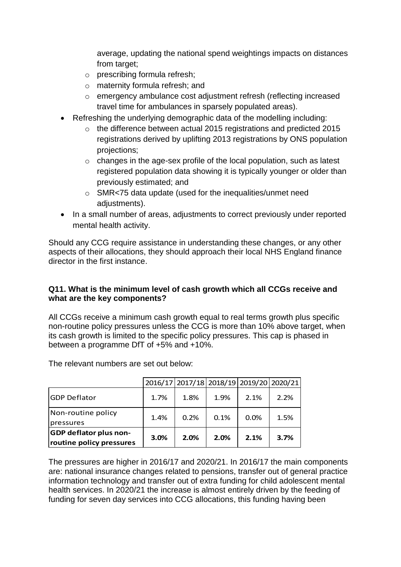average, updating the national spend weightings impacts on distances from target;

- o prescribing formula refresh;
- o maternity formula refresh; and
- o emergency ambulance cost adjustment refresh (reflecting increased travel time for ambulances in sparsely populated areas).
- Refreshing the underlying demographic data of the modelling including:
	- $\circ$  the difference between actual 2015 registrations and predicted 2015 registrations derived by uplifting 2013 registrations by ONS population projections;
	- o changes in the age-sex profile of the local population, such as latest registered population data showing it is typically younger or older than previously estimated; and
	- o SMR<75 data update (used for the inequalities/unmet need adiustments).
- In a small number of areas, adjustments to correct previously under reported mental health activity.

Should any CCG require assistance in understanding these changes, or any other aspects of their allocations, they should approach their local NHS England finance director in the first instance.

# **Q11. What is the minimum level of cash growth which all CCGs receive and what are the key components?**

All CCGs receive a minimum cash growth equal to real terms growth plus specific non-routine policy pressures unless the CCG is more than 10% above target, when its cash growth is limited to the specific policy pressures. This cap is phased in between a programme DfT of +5% and +10%.

The relevant numbers are set out below:

|                               |      |      | 2016/17 2017/18 2018/19 2019/20 2020/21 |      |      |
|-------------------------------|------|------|-----------------------------------------|------|------|
| <b>GDP Deflator</b>           | 1.7% | 1.8% | 1.9%                                    | 2.1% | 2.2% |
| Non-routine policy            | 1.4% | 0.2% | 0.1%                                    | 0.0% | 1.5% |
| pressures                     |      |      |                                         |      |      |
| <b>GDP deflator plus non-</b> | 3.0% | 2.0% | 2.0%                                    | 2.1% | 3.7% |
| routine policy pressures      |      |      |                                         |      |      |

The pressures are higher in 2016/17 and 2020/21. In 2016/17 the main components are: national insurance changes related to pensions, transfer out of general practice information technology and transfer out of extra funding for child adolescent mental health services. In 2020/21 the increase is almost entirely driven by the feeding of funding for seven day services into CCG allocations, this funding having been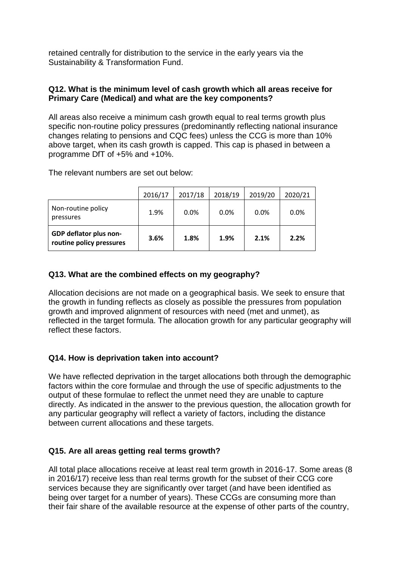retained centrally for distribution to the service in the early years via the Sustainability & Transformation Fund.

### **Q12. What is the minimum level of cash growth which all areas receive for Primary Care (Medical) and what are the key components?**

All areas also receive a minimum cash growth equal to real terms growth plus specific non-routine policy pressures (predominantly reflecting national insurance changes relating to pensions and CQC fees) unless the CCG is more than 10% above target, when its cash growth is capped. This cap is phased in between a programme DfT of +5% and +10%.

The relevant numbers are set out below:

|                                                    | 2016/17 | 2017/18 | 2018/19 | 2019/20 | 2020/21 |
|----------------------------------------------------|---------|---------|---------|---------|---------|
| Non-routine policy<br>pressures                    | 1.9%    | 0.0%    | 0.0%    | 0.0%    | 0.0%    |
| GDP deflator plus non-<br>routine policy pressures | 3.6%    | 1.8%    | 1.9%    | 2.1%    | 2.2%    |

# **Q13. What are the combined effects on my geography?**

Allocation decisions are not made on a geographical basis. We seek to ensure that the growth in funding reflects as closely as possible the pressures from population growth and improved alignment of resources with need (met and unmet), as reflected in the target formula. The allocation growth for any particular geography will reflect these factors.

#### **Q14. How is deprivation taken into account?**

We have reflected deprivation in the target allocations both through the demographic factors within the core formulae and through the use of specific adjustments to the output of these formulae to reflect the unmet need they are unable to capture directly. As indicated in the answer to the previous question, the allocation growth for any particular geography will reflect a variety of factors, including the distance between current allocations and these targets.

# **Q15. Are all areas getting real terms growth?**

All total place allocations receive at least real term growth in 2016-17. Some areas (8 in 2016/17) receive less than real terms growth for the subset of their CCG core services because they are significantly over target (and have been identified as being over target for a number of years). These CCGs are consuming more than their fair share of the available resource at the expense of other parts of the country,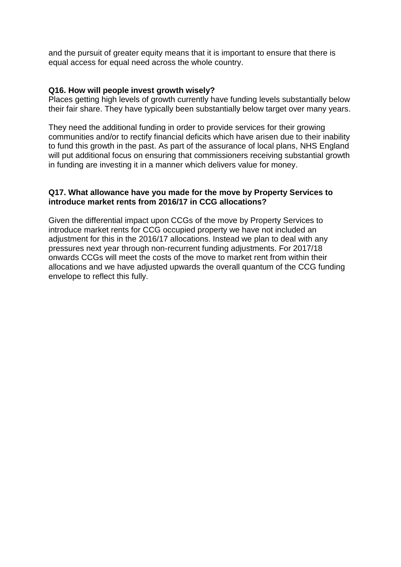and the pursuit of greater equity means that it is important to ensure that there is equal access for equal need across the whole country.

#### **Q16. How will people invest growth wisely?**

Places getting high levels of growth currently have funding levels substantially below their fair share. They have typically been substantially below target over many years.

They need the additional funding in order to provide services for their growing communities and/or to rectify financial deficits which have arisen due to their inability to fund this growth in the past. As part of the assurance of local plans, NHS England will put additional focus on ensuring that commissioners receiving substantial growth in funding are investing it in a manner which delivers value for money.

#### **Q17. What allowance have you made for the move by Property Services to introduce market rents from 2016/17 in CCG allocations?**

Given the differential impact upon CCGs of the move by Property Services to introduce market rents for CCG occupied property we have not included an adjustment for this in the 2016/17 allocations. Instead we plan to deal with any pressures next year through non-recurrent funding adjustments. For 2017/18 onwards CCGs will meet the costs of the move to market rent from within their allocations and we have adjusted upwards the overall quantum of the CCG funding envelope to reflect this fully.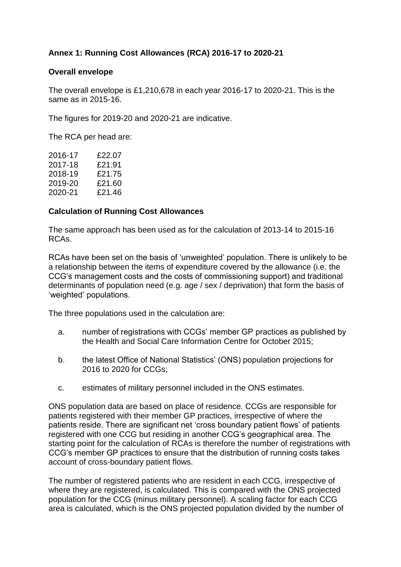# **Annex 1: Running Cost Allowances (RCA) 2016-17 to 2020-21**

### **Overall envelope**

The overall envelope is £1,210,678 in each year 2016-17 to 2020-21. This is the same as in 2015-16.

The figures for 2019-20 and 2020-21 are indicative.

The RCA per head are:

| 2016-17 | £22.07 |
|---------|--------|
| 2017-18 | £21.91 |
| 2018-19 | £21.75 |
| 2019-20 | £21.60 |
| 2020-21 | £21.46 |
|         |        |

### **Calculation of Running Cost Allowances**

The same approach has been used as for the calculation of 2013-14 to 2015-16 RCAs.

RCAs have been set on the basis of 'unweighted' population. There is unlikely to be a relationship between the items of expenditure covered by the allowance (i.e. the CCG's management costs and the costs of commissioning support) and traditional determinants of population need (e.g. age / sex / deprivation) that form the basis of 'weighted' populations.

The three populations used in the calculation are:

- a. number of registrations with CCGs' member GP practices as published by the Health and Social Care Information Centre for October 2015;
- b. the latest Office of National Statistics' (ONS) population projections for 2016 to 2020 for CCGs;
- c. estimates of military personnel included in the ONS estimates.

ONS population data are based on place of residence. CCGs are responsible for patients registered with their member GP practices, irrespective of where the patients reside. There are significant net 'cross boundary patient flows' of patients registered with one CCG but residing in another CCG's geographical area. The starting point for the calculation of RCAs is therefore the number of registrations with CCG's member GP practices to ensure that the distribution of running costs takes account of cross-boundary patient flows.

The number of registered patients who are resident in each CCG, irrespective of where they are registered, is calculated. This is compared with the ONS projected population for the CCG (minus military personnel). A scaling factor for each CCG area is calculated, which is the ONS projected population divided by the number of